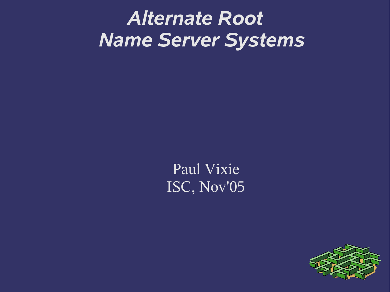# *Alternate Root Name Server Systems*

Paul Vixie ISC, Nov'05

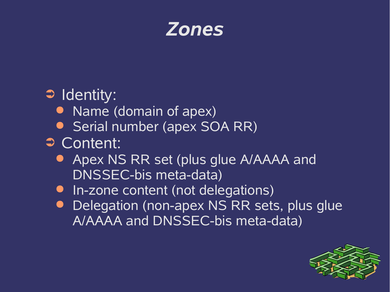

#### ➲ Identity:

- Name (domain of apex)
- Serial number (apex SOA RR)
- ➲ Content:
	- **Apex NS RR set (plus glue A/AAAA and** DNSSEC-bis meta-data)
	- In-zone content (not delegations)
	- **Delegation (non-apex NS RR sets, plus glue** A/AAAA and DNSSEC-bis meta-data)

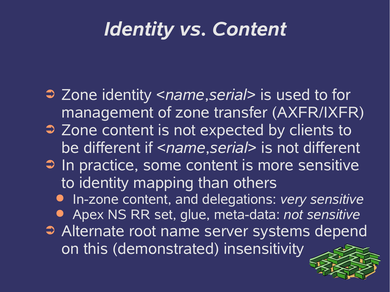## *Identity vs. Content*

- ➲ Zone identity <*name*,*serial*> is used to for management of zone transfer (AXFR/IXFR)
- ➲ Zone content is not expected by clients to be different if <*name*,*serial*> is not different
- ➲ In practice, some content is more sensitive to identity mapping than others
	- In-zone content, and delegations: *very sensitive*
	- Apex NS RR set, glue, meta-data: *not sensitive*
- **Alternate root name server systems depend** on this (demonstrated) insensitivity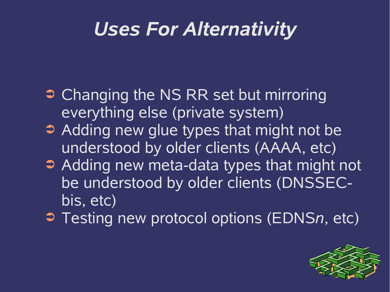## *Uses For Alternativity*

- **Changing the NS RR set but mirroring** everything else (private system)
- ➲ Adding new glue types that might not be understood by older clients (AAAA, etc)
- ➲ Adding new meta-data types that might not be understood by older clients (DNSSECbis, etc)
- ➲ Testing new protocol options (EDNS*n*, etc)

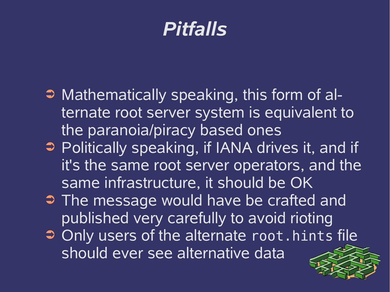#### *Pitfalls*

- ➲ Mathematically speaking, this form of alternate root server system is equivalent to the paranoia/piracy based ones
- ➲ Politically speaking, if IANA drives it, and if it's the same root server operators, and the same infrastructure, it should be OK
- ➲ The message would have be crafted and published very carefully to avoid rioting
- ➲ Only users of the alternate root.hints file should ever see alternative data

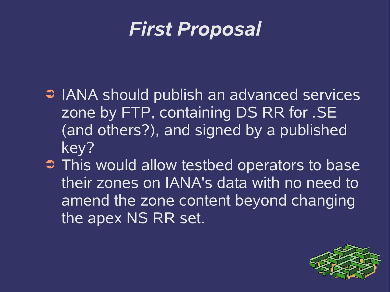

- ➲ IANA should publish an advanced services zone by FTP, containing DS RR for .SE (and others?), and signed by a published key?
- ➲ This would allow testbed operators to base their zones on IANA's data with no need to amend the zone content beyond changing the apex NS RR set.